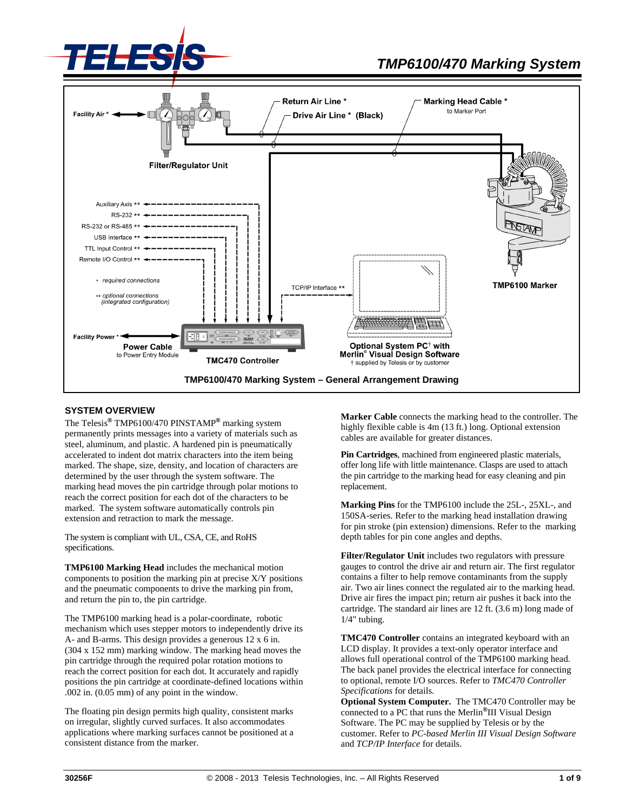



## **SYSTEM OVERVIEW**

The Telesis**®** TMP6100/470 PINSTAMP**®** marking system permanently prints messages into a variety of materials such as steel, aluminum, and plastic. A hardened pin is pneumatically accelerated to indent dot matrix characters into the item being marked. The shape, size, density, and location of characters are determined by the user through the system software. The marking head moves the pin cartridge through polar motions to reach the correct position for each dot of the characters to be marked. The system software automatically controls pin extension and retraction to mark the message.

The system is compliant with UL, CSA, CE, and RoHS specifications.

**TMP6100 Marking Head** includes the mechanical motion components to position the marking pin at precise X/Y positions and the pneumatic components to drive the marking pin from, and return the pin to, the pin cartridge.

The TMP6100 marking head is a polar-coordinate, robotic mechanism which uses stepper motors to independently drive its A- and B-arms. This design provides a generous 12 x 6 in. (304 x 152 mm) marking window. The marking head moves the pin cartridge through the required polar rotation motions to reach the correct position for each dot. It accurately and rapidly positions the pin cartridge at coordinate-defined locations within .002 in. (0.05 mm) of any point in the window.

The floating pin design permits high quality, consistent marks on irregular, slightly curved surfaces. It also accommodates applications where marking surfaces cannot be positioned at a consistent distance from the marker.

**Marker Cable** connects the marking head to the controller. The highly flexible cable is 4m (13 ft.) long. Optional extension cables are available for greater distances.

**Pin Cartridges**, machined from engineered plastic materials, offer long life with little maintenance. Clasps are used to attach the pin cartridge to the marking head for easy cleaning and pin replacement.

**Marking Pins** for the TMP6100 include the 25L-, 25XL-, and 150SA-series. Refer to the marking head installation drawing for pin stroke (pin extension) dimensions. Refer to the marking depth tables for pin cone angles and depths.

**Filter/Regulator Unit** includes two regulators with pressure gauges to control the drive air and return air. The first regulator contains a filter to help remove contaminants from the supply air. Two air lines connect the regulated air to the marking head. Drive air fires the impact pin; return air pushes it back into the cartridge. The standard air lines are 12 ft. (3.6 m) long made of 1/4" tubing.

**TMC470 Controller** contains an integrated keyboard with an LCD display. It provides a text-only operator interface and allows full operational control of the TMP6100 marking head. The back panel provides the electrical interface for connecting to optional, remote I/O sources. Refer to *TMC470 Controller Specifications* for details.

**Optional System Computer.** The TMC470 Controller may be connected to a PC that runs the Merlin**®**III Visual Design Software. The PC may be supplied by Telesis or by the customer. Refer to *PC-based Merlin III Visual Design Software* and *TCP/IP Interface* for details.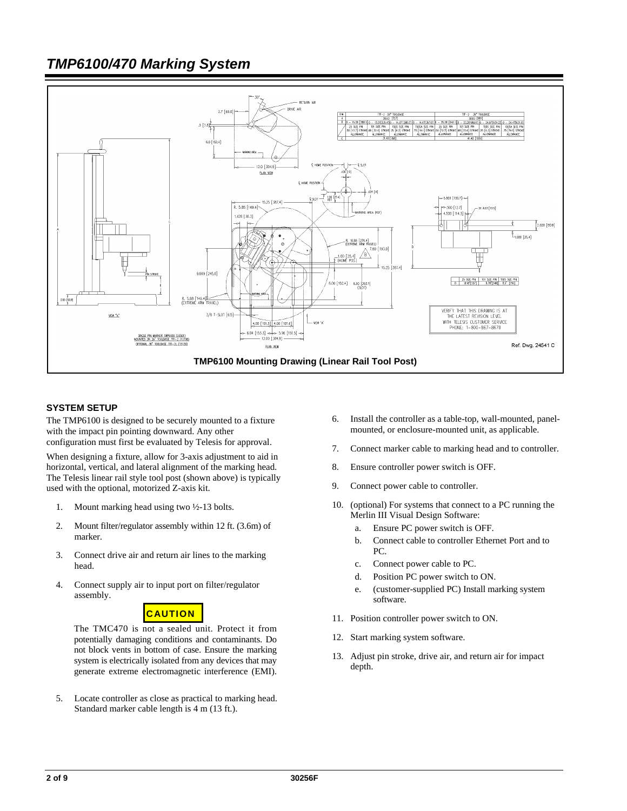

## **SYSTEM SETUP**

The TMP6100 is designed to be securely mounted to a fixture with the impact pin pointing downward. Any other configuration must first be evaluated by Telesis for approval.

When designing a fixture, allow for 3-axis adjustment to aid in horizontal, vertical, and lateral alignment of the marking head. The Telesis linear rail style tool post (shown above) is typically used with the optional, motorized Z-axis kit.

- 1. Mount marking head using two ½-13 bolts.
- 2. Mount filter/regulator assembly within 12 ft. (3.6m) of marker.
- 3. Connect drive air and return air lines to the marking head.
- 4. Connect supply air to input port on filter/regulator assembly.



The TMC470 is not a sealed unit. Protect it from potentially damaging conditions and contaminants. Do not block vents in bottom of case. Ensure the marking system is electrically isolated from any devices that may generate extreme electromagnetic interference (EMI).

5. Locate controller as close as practical to marking head. Standard marker cable length is 4 m (13 ft.).

- 6. Install the controller as a table-top, wall-mounted, panelmounted, or enclosure-mounted unit, as applicable.
- 7. Connect marker cable to marking head and to controller.
- 8. Ensure controller power switch is OFF.
- 9. Connect power cable to controller.
- 10. (optional) For systems that connect to a PC running the Merlin III Visual Design Software:
	- a. Ensure PC power switch is OFF.
	- b. Connect cable to controller Ethernet Port and to PC.
	- c. Connect power cable to PC.
	- d. Position PC power switch to ON.
	- e. (customer-supplied PC) Install marking system software.
- 11. Position controller power switch to ON.
- 12. Start marking system software.
- 13. Adjust pin stroke, drive air, and return air for impact depth.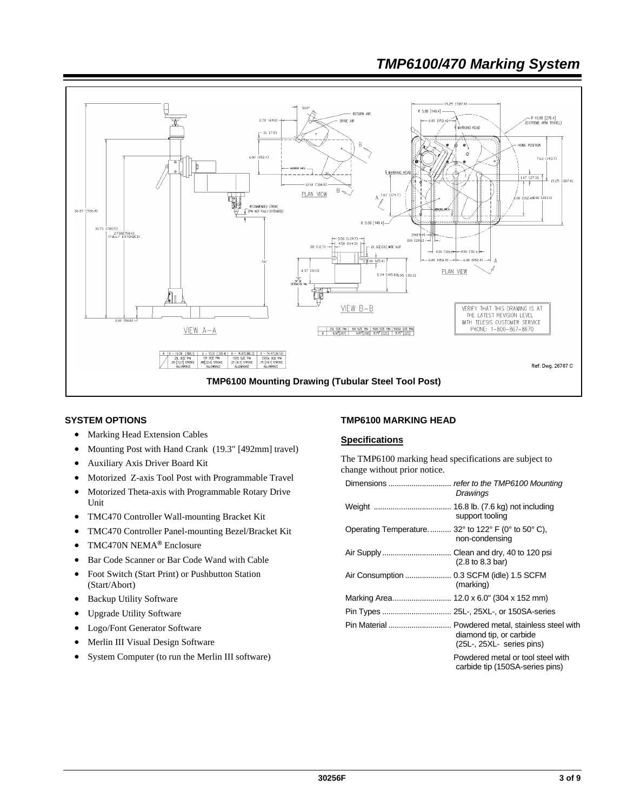

### **SYSTEM OPTIONS**

- Marking Head Extension Cables
- Mounting Post with Hand Crank (19.3" [492mm] travel)
- Auxiliary Axis Driver Board Kit
- Motorized Z-axis Tool Post with Programmable Travel
- Motorized Theta-axis with Programmable Rotary Drive Unit
- TMC470 Controller Wall-mounting Bracket Kit
- TMC470 Controller Panel-mounting Bezel/Bracket Kit
- TMC470N NEMA**®** Enclosure
- Bar Code Scanner or Bar Code Wand with Cable
- Foot Switch (Start Print) or Pushbutton Station (Start/Abort)
- Backup Utility Software
- Upgrade Utility Software
- Logo/Font Generator Software
- Merlin III Visual Design Software
- System Computer (to run the Merlin III software)

### **TMP6100 MARKING HEAD**

# **Specifications**

The TMP6100 marking head specifications are subject to change without prior notice.

|                                                                                            | Drawings                                                                                                 |
|--------------------------------------------------------------------------------------------|----------------------------------------------------------------------------------------------------------|
|                                                                                            | support tooling                                                                                          |
| Operating Temperature 32 $^{\circ}$ to 122 $^{\circ}$ F (0 $^{\circ}$ to 50 $^{\circ}$ C), | non-condensing                                                                                           |
|                                                                                            | $(2.8 \text{ to } 8.3 \text{ bar})$                                                                      |
|                                                                                            | (marking)                                                                                                |
|                                                                                            |                                                                                                          |
|                                                                                            |                                                                                                          |
|                                                                                            | Pin Material  Powdered metal, stainless steel with<br>diamond tip, or carbide<br>(25L, 25XL series pins) |
|                                                                                            | Powdered metal or tool steel with<br>carbide tip (150SA-series pins)                                     |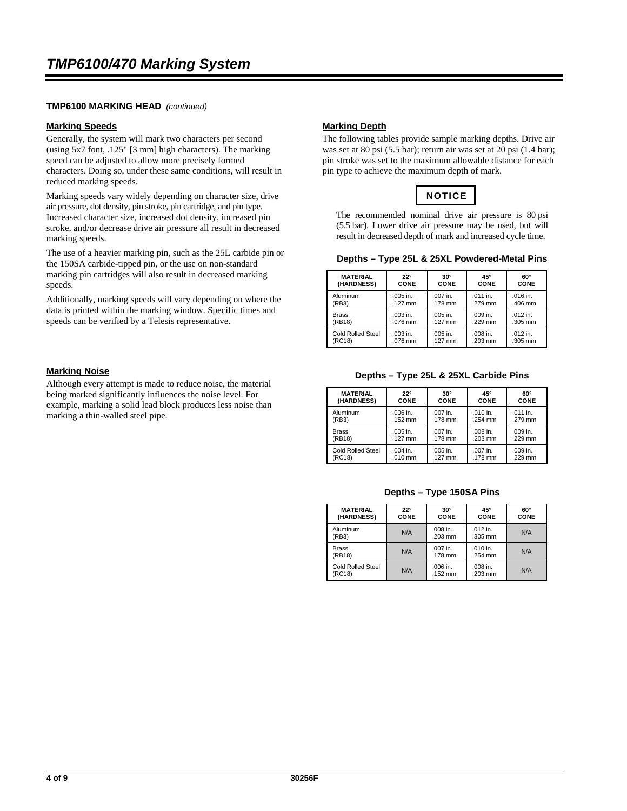# **TMP6100 MARKING HEAD** *(continued)*

#### **Marking Speeds**

Generally, the system will mark two characters per second (using 5x7 font, .125" [3 mm] high characters). The marking speed can be adjusted to allow more precisely formed characters. Doing so, under these same conditions, will result in reduced marking speeds.

Marking speeds vary widely depending on character size, drive air pressure, dot density, pin stroke, pin cartridge, and pin type. Increased character size, increased dot density, increased pin stroke, and/or decrease drive air pressure all result in decreased marking speeds.

The use of a heavier marking pin, such as the 25L carbide pin or the 150SA carbide-tipped pin, or the use on non-standard marking pin cartridges will also result in decreased marking speeds.

Additionally, marking speeds will vary depending on where the data is printed within the marking window. Specific times and speeds can be verified by a Telesis representative.

# **Marking Noise**

Although every attempt is made to reduce noise, the material being marked significantly influences the noise level. For example, marking a solid lead block produces less noise than marking a thin-walled steel pipe.

### **Marking Depth**

The following tables provide sample marking depths. Drive air was set at 80 psi (5.5 bar); return air was set at 20 psi (1.4 bar); pin stroke was set to the maximum allowable distance for each pin type to achieve the maximum depth of mark.

# **NOTICE**

The recommended nominal drive air pressure is 80 psi (5.5 bar). Lower drive air pressure may be used, but will result in decreased depth of mark and increased cycle time.

|  |  |  | Depths – Type 25L & 25XL Powdered-Metal Pins |  |
|--|--|--|----------------------------------------------|--|
|--|--|--|----------------------------------------------|--|

| <b>MATERIAL</b>          | $22^{\circ}$ | $30^\circ$  | 45°        | $60^\circ$  |
|--------------------------|--------------|-------------|------------|-------------|
| (HARDNESS)               | <b>CONE</b>  | <b>CONE</b> | CONE       | <b>CONE</b> |
| Aluminum                 | .005 in.     | $.007$ in.  | $.011$ in. | .016 in.    |
| (RB3)                    | .127 mm      | .178 mm     | .279 mm    | .406 mm     |
| <b>Brass</b>             | .003 in.     | .005 in.    | .009 in.   | $.012$ in.  |
| (RB18)                   | .076 mm      | $.127$ mm   | .229 mm    | .305 mm     |
| <b>Cold Rolled Steel</b> | .003 in.     | .005 in.    | .008 in.   | $.012$ in.  |
| (RC18)                   | .076 mm      | .127 mm     | .203 mm    | .305 mm     |

**Depths – Type 25L & 25XL Carbide Pins**

| <b>MATERIAL</b>          | $22^\circ$ | $30^\circ$ | 45°         | $60^\circ$ |
|--------------------------|------------|------------|-------------|------------|
| (HARDNESS)               | CONE       | CONE       | <b>CONE</b> | CONE       |
| Aluminum                 | .006 in.   | .007 in.   | .010 in.    | $.011$ in. |
| (RB3)                    | $.152$ mm  | $.178$ mm  | .254 mm     | .279 mm    |
| <b>Brass</b>             | .005 in.   | $.007$ in. | .008 in.    | .009 in.   |
| (RB18)                   | $.127$ mm  | .178 mm    | $.203$ mm   | .229 mm    |
| <b>Cold Rolled Steel</b> | $.004$ in. | .005 in.   | .007 in.    | .009 in.   |
| (RC18)                   | .010 mm    | $.127$ mm  | .178 mm     | .229 mm    |

**Depths – Type 150SA Pins**

| <b>MATERIAL</b><br>(HARDNESS) | $22^{\circ}$<br>CONE | $30^\circ$<br>CONE              | 45°<br>CONE           | $60^\circ$<br>CONE |
|-------------------------------|----------------------|---------------------------------|-----------------------|--------------------|
| Aluminum<br>(RB3)             | N/A                  | $.008$ in.<br>$.203 \text{ mm}$ | $.012$ in.<br>.305 mm | N/A                |
| <b>Brass</b><br>(RB18)        | N/A                  | $.007$ in.<br>.178 mm           | .010 in.<br>.254 mm   | N/A                |
| Cold Rolled Steel<br>(RC18)   | N/A                  | .006 in.<br>.152 mm             | .008 in.<br>.203 mm   | N/A                |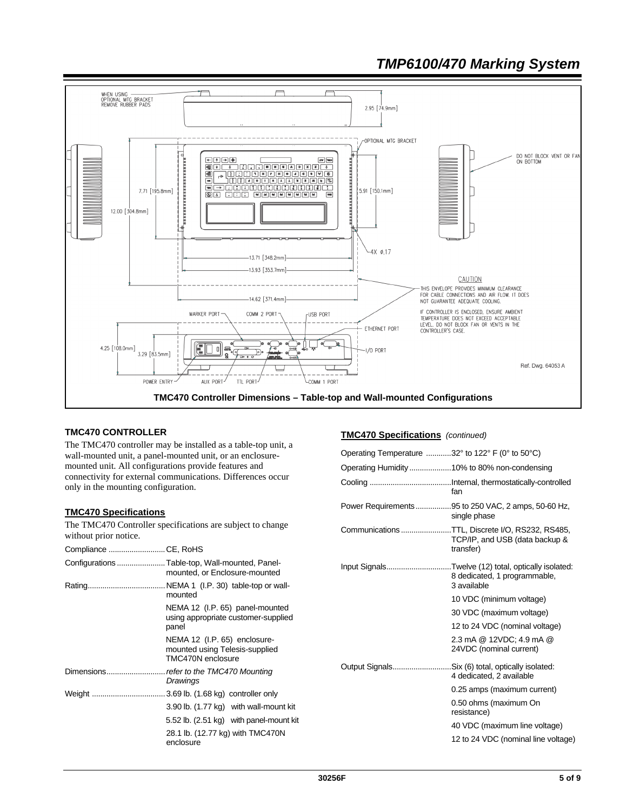

# **TMC470 CONTROLLER**

The TMC470 controller may be installed as a table-top unit, a wall-mounted unit, a panel-mounted unit, or an enclosuremounted unit. All configurations provide features and connectivity for external communications. Differences occur only in the mounting configuration.

## **TMC470 Specifications**

The TMC470 Controller specifications are subject to change without prior notice.

| Compliance CE, RoHS |                                                                                                                                    |
|---------------------|------------------------------------------------------------------------------------------------------------------------------------|
|                     | Configurations  Table-top, Wall-mounted, Panel-<br>mounted, or Enclosure-mounted                                                   |
|                     | mounted                                                                                                                            |
|                     | NEMA 12 (I.P. 65) panel-mounted<br>using appropriate customer-supplied<br>panel                                                    |
|                     | NEMA 12 (I.P. 65) enclosure-<br>mounted using Telesis-supplied<br>TMC470N enclosure                                                |
|                     | Drawings                                                                                                                           |
|                     | 3.90 lb. (1.77 kg) with wall-mount kit<br>5.52 lb. (2.51 kg) with panel-mount kit<br>28.1 lb. (12.77 kg) with TMC470N<br>enclosure |
|                     |                                                                                                                                    |

# **TMC470 Specifications** *(continued)*

| Operating Temperature $\ldots$ 32° to 122° F (0° to 50°C) |                                                                                                    |
|-----------------------------------------------------------|----------------------------------------------------------------------------------------------------|
|                                                           |                                                                                                    |
|                                                           | fan                                                                                                |
|                                                           | Power Requirements95 to 250 VAC, 2 amps, 50-60 Hz,<br>single phase                                 |
|                                                           | CommunicationsTTL, Discrete I/O, RS232, RS485,<br>TCP/IP, and USB (data backup &<br>transfer)      |
|                                                           | Input SignalsTwelve (12) total, optically isolated:<br>8 dedicated, 1 programmable,<br>3 available |
|                                                           | 10 VDC (minimum voltage)                                                                           |
|                                                           | 30 VDC (maximum voltage)                                                                           |
|                                                           | 12 to 24 VDC (nominal voltage)                                                                     |
|                                                           | 2.3 mA @ 12VDC; 4.9 mA @<br>24VDC (nominal current)                                                |
| Output SignalsSix (6) total, optically isolated:          | 4 dedicated, 2 available                                                                           |
|                                                           | 0.25 amps (maximum current)                                                                        |
|                                                           | 0.50 ohms (maximum On<br>resistance)                                                               |
|                                                           | 40 VDC (maximum line voltage)                                                                      |
|                                                           | 12 to 24 VDC (nominal line voltage)                                                                |
|                                                           |                                                                                                    |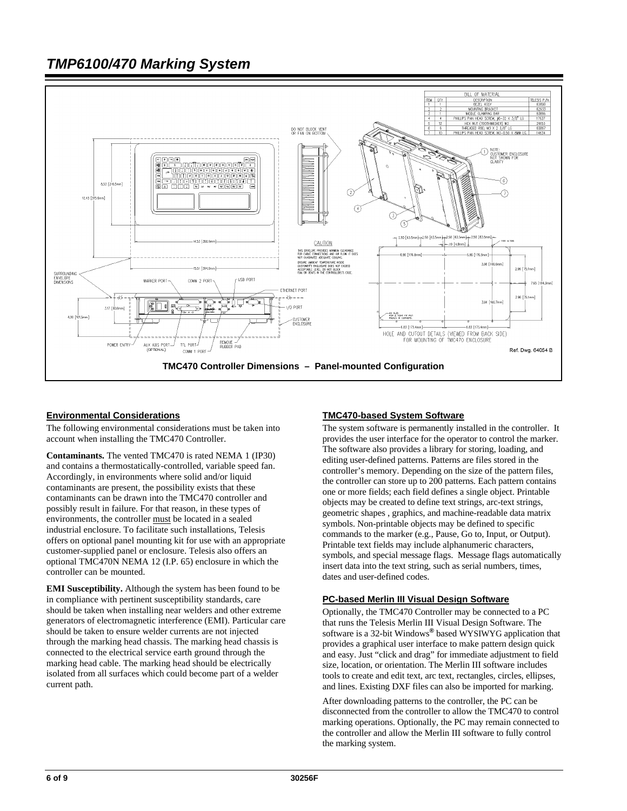

### **Environmental Considerations**

The following environmental considerations must be taken into account when installing the TMC470 Controller.

**Contaminants.** The vented TMC470 is rated NEMA 1 (IP30) and contains a thermostatically-controlled, variable speed fan. Accordingly, in environments where solid and/or liquid contaminants are present, the possibility exists that these contaminants can be drawn into the TMC470 controller and possibly result in failure. For that reason, in these types of environments, the controller must be located in a sealed industrial enclosure. To facilitate such installations, Telesis offers on optional panel mounting kit for use with an appropriate customer-supplied panel or enclosure. Telesis also offers an optional TMC470N NEMA 12 (I.P. 65) enclosure in which the controller can be mounted.

**EMI Susceptibility.** Although the system has been found to be in compliance with pertinent susceptibility standards, care should be taken when installing near welders and other extreme generators of electromagnetic interference (EMI). Particular care should be taken to ensure welder currents are not injected through the marking head chassis. The marking head chassis is connected to the electrical service earth ground through the marking head cable. The marking head should be electrically isolated from all surfaces which could become part of a welder current path.

### **TMC470-based System Software**

The system software is permanently installed in the controller. It provides the user interface for the operator to control the marker. The software also provides a library for storing, loading, and editing user-defined patterns. Patterns are files stored in the controller's memory. Depending on the size of the pattern files, the controller can store up to 200 patterns. Each pattern contains one or more fields; each field defines a single object. Printable objects may be created to define text strings, arc-text strings, geometric shapes , graphics, and machine-readable data matrix symbols. Non-printable objects may be defined to specific commands to the marker (e.g., Pause, Go to, Input, or Output). Printable text fields may include alphanumeric characters, symbols, and special message flags. Message flags automatically insert data into the text string, such as serial numbers, times, dates and user-defined codes.

#### **PC-based Merlin III Visual Design Software**

Optionally, the TMC470 Controller may be connected to a PC that runs the Telesis Merlin III Visual Design Software. The software is a 32-bit Windows**®** based WYSIWYG application that provides a graphical user interface to make pattern design quick and easy. Just "click and drag" for immediate adjustment to field size, location, or orientation. The Merlin III software includes tools to create and edit text, arc text, rectangles, circles, ellipses, and lines. Existing DXF files can also be imported for marking.

After downloading patterns to the controller, the PC can be disconnected from the controller to allow the TMC470 to control marking operations. Optionally, the PC may remain connected to the controller and allow the Merlin III software to fully control the marking system.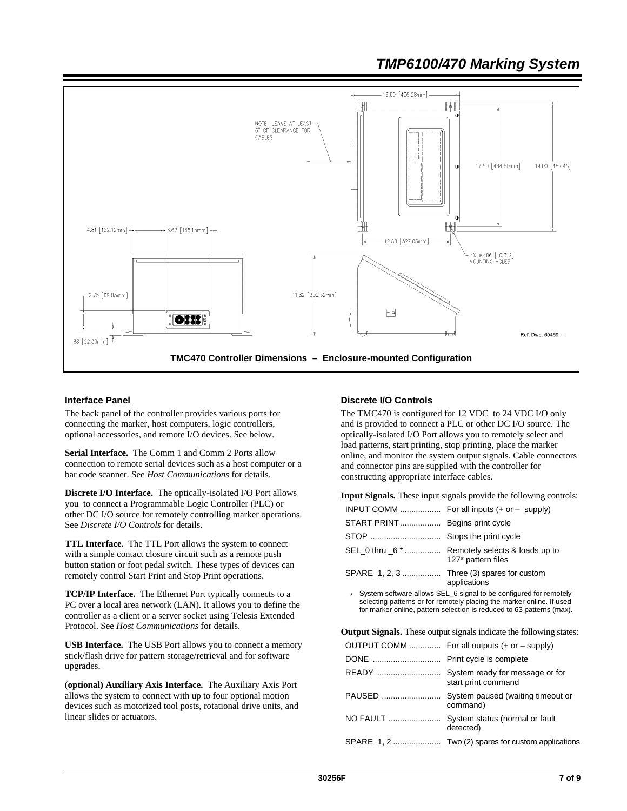

### **Interface Panel**

The back panel of the controller provides various ports for connecting the marker, host computers, logic controllers, optional accessories, and remote I/O devices. See below.

**Serial Interface.** The Comm 1 and Comm 2 Ports allow connection to remote serial devices such as a host computer or a bar code scanner. See *Host Communications* for details.

**Discrete I/O Interface.** The optically-isolated I/O Port allows you to connect a Programmable Logic Controller (PLC) or other DC I/O source for remotely controlling marker operations. See *Discrete I/O Controls* for details.

**TTL Interface.** The TTL Port allows the system to connect with a simple contact closure circuit such as a remote push button station or foot pedal switch. These types of devices can remotely control Start Print and Stop Print operations.

**TCP/IP Interface.** The Ethernet Port typically connects to a PC over a local area network (LAN). It allows you to define the controller as a client or a server socket using Telesis Extended Protocol. See *Host Communications* for details.

**USB Interface.** The USB Port allows you to connect a memory stick/flash drive for pattern storage/retrieval and for software upgrades.

**(optional) Auxiliary Axis Interface.** The Auxiliary Axis Port allows the system to connect with up to four optional motion devices such as motorized tool posts, rotational drive units, and linear slides or actuators.

### **Discrete I/O Controls**

The TMC470 is configured for 12 VDC to 24 VDC I/O only and is provided to connect a PLC or other DC I/O source. The optically-isolated I/O Port allows you to remotely select and load patterns, start printing, stop printing, place the marker online, and monitor the system output signals. Cable connectors and connector pins are supplied with the controller for constructing appropriate interface cables.

**Input Signals.** These input signals provide the following controls:

|                                | INPUT COMM  For all inputs $(+ or - supply)$                          |
|--------------------------------|-----------------------------------------------------------------------|
| START PRINT Begins print cycle |                                                                       |
|                                |                                                                       |
|                                | SEL_0 thru _6 *  Remotely selects & loads up to<br>127* pattern files |
|                                | SPARE 1, 2, 3  Three (3) spares for custom<br>applications            |

System software allows SEL\_6 signal to be configured for remotely selecting patterns or for remotely placing the marker online. If used for marker online, pattern selection is reduced to 63 patterns (max).

**Output Signals.** These output signals indicate the following states:

|          | OUTPUT COMM  For all outputs (+ or - supply)  |
|----------|-----------------------------------------------|
|          |                                               |
|          | start print command                           |
| PAUSED   | System paused (waiting timeout or<br>command) |
| NO FAULT | System status (normal or fault<br>detected)   |
|          |                                               |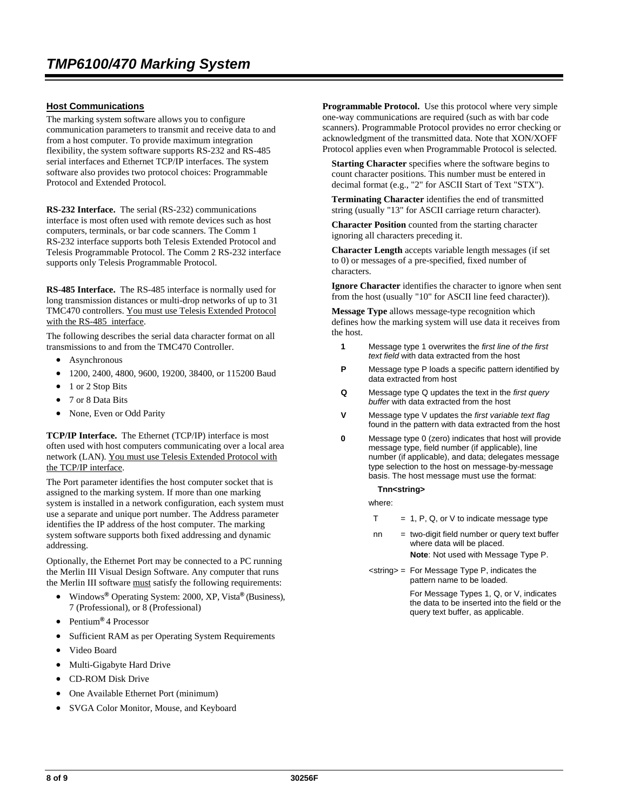### **Host Communications**

The marking system software allows you to configure communication parameters to transmit and receive data to and from a host computer. To provide maximum integration flexibility, the system software supports RS-232 and RS-485 serial interfaces and Ethernet TCP/IP interfaces. The system software also provides two protocol choices: Programmable Protocol and Extended Protocol.

**RS-232 Interface.** The serial (RS-232) communications interface is most often used with remote devices such as host computers, terminals, or bar code scanners. The Comm 1 RS-232 interface supports both Telesis Extended Protocol and Telesis Programmable Protocol. The Comm 2 RS-232 interface supports only Telesis Programmable Protocol.

**RS-485 Interface.** The RS-485 interface is normally used for long transmission distances or multi-drop networks of up to 31 TMC470 controllers. You must use Telesis Extended Protocol with the RS-485 interface.

The following describes the serial data character format on all transmissions to and from the TMC470 Controller.

- **Asynchronous**
- 1200, 2400, 4800, 9600, 19200, 38400, or 115200 Baud
- 1 or 2 Stop Bits
- 7 or 8 Data Bits
- None, Even or Odd Parity

**TCP/IP Interface.** The Ethernet (TCP/IP) interface is most often used with host computers communicating over a local area network (LAN). You must use Telesis Extended Protocol with the TCP/IP interface.

The Port parameter identifies the host computer socket that is assigned to the marking system. If more than one marking system is installed in a network configuration, each system must use a separate and unique port number. The Address parameter identifies the IP address of the host computer. The marking system software supports both fixed addressing and dynamic addressing.

Optionally, the Ethernet Port may be connected to a PC running the Merlin III Visual Design Software. Any computer that runs the Merlin III software must satisfy the following requirements:

- Windows**®** Operating System: 2000, XP, Vista**®** (Business), 7 (Professional), or 8 (Professional)
- Pentium**®** 4 Processor
- Sufficient RAM as per Operating System Requirements
- Video Board
- Multi-Gigabyte Hard Drive
- CD-ROM Disk Drive
- One Available Ethernet Port (minimum)
- SVGA Color Monitor, Mouse, and Keyboard

**Programmable Protocol.** Use this protocol where very simple one-way communications are required (such as with bar code scanners). Programmable Protocol provides no error checking or acknowledgment of the transmitted data. Note that XON/XOFF Protocol applies even when Programmable Protocol is selected.

**Starting Character** specifies where the software begins to count character positions. This number must be entered in decimal format (e.g., "2" for ASCII Start of Text "STX").

**Terminating Character** identifies the end of transmitted string (usually "13" for ASCII carriage return character).

**Character Position** counted from the starting character ignoring all characters preceding it.

**Character Length** accepts variable length messages (if set to 0) or messages of a pre-specified, fixed number of characters.

**Ignore Character** identifies the character to ignore when sent from the host (usually "10" for ASCII line feed character)).

**Message Type** allows message-type recognition which defines how the marking system will use data it receives from the host.

- **1** Message type 1 overwrites the *first line of the first text field* with data extracted from the host
- **P** Message type P loads a specific pattern identified by data extracted from host
- **Q** Message type Q updates the text in the *first query buffer* with data extracted from the host
- **V** Message type V updates the *first variable text flag* found in the pattern with data extracted from the host
- **0** Message type 0 (zero) indicates that host will provide message type, field number (if applicable), line number (if applicable), and data; delegates message type selection to the host on message-by-message basis. The host message must use the format:

#### **Tnn<string>**

where:

- $T = 1$ , P, Q, or V to indicate message type
- nn = two-digit field number or query text buffer where data will be placed. **Note**: Not used with Message Type P.
- <string> = For Message Type P, indicates the pattern name to be loaded.

For Message Types 1, Q, or V, indicates the data to be inserted into the field or the query text buffer, as applicable.